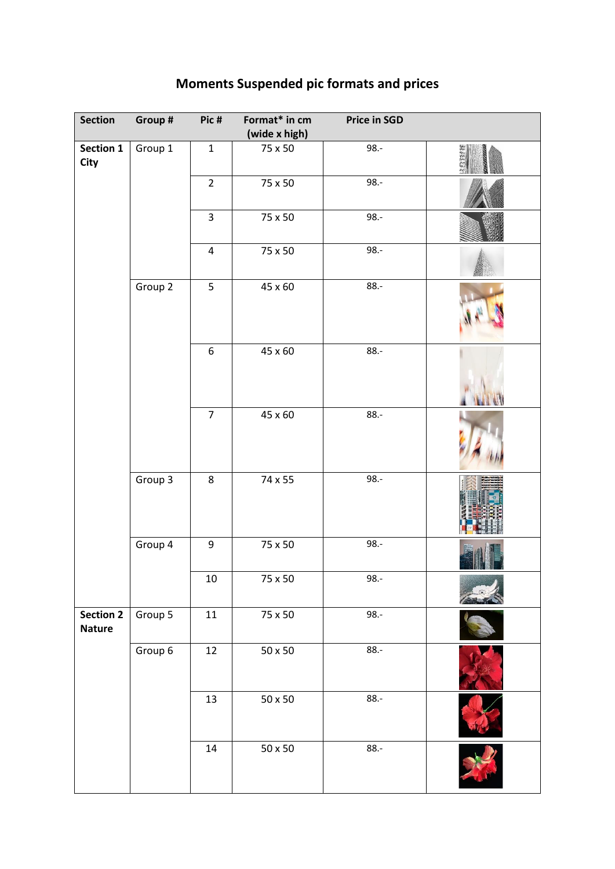| <b>Section</b>                    | Group # | Pic#                    | Format* in cm<br>(wide x high) | <b>Price in SGD</b> |  |
|-----------------------------------|---------|-------------------------|--------------------------------|---------------------|--|
| Section 1<br><b>City</b>          | Group 1 | $\mathbf 1$             | 75 x 50                        | $98.-$              |  |
|                                   |         | $\overline{2}$          | 75 x 50                        | 98.-                |  |
|                                   |         | 3                       | 75 x 50                        | $98. -$             |  |
|                                   |         | $\overline{\mathbf{4}}$ | 75 x 50                        | $98.-$              |  |
|                                   | Group 2 | 5                       | 45 x 60                        | $88 -$              |  |
|                                   |         | 6                       | 45 x 60                        | $88.-$              |  |
|                                   |         | $\overline{7}$          | 45 x 60                        | $88 -$              |  |
|                                   | Group 3 | 8                       | 74 x 55                        | 98.-                |  |
|                                   | Group 4 | 9                       | 75 x 50                        | $98.-$              |  |
|                                   |         | $10\,$                  | 75 x 50                        | 98.-                |  |
| <b>Section 2</b><br><b>Nature</b> | Group 5 | 11                      | 75 x 50                        | $98.-$              |  |
|                                   | Group 6 | 12                      | $50\times50$                   | $88.-$              |  |
|                                   |         | 13                      | $50\times50$                   | $88.-$              |  |
|                                   |         | $14\,$                  | $50\times50$                   | $88.-$              |  |

## **Moments Suspended pic formats and prices**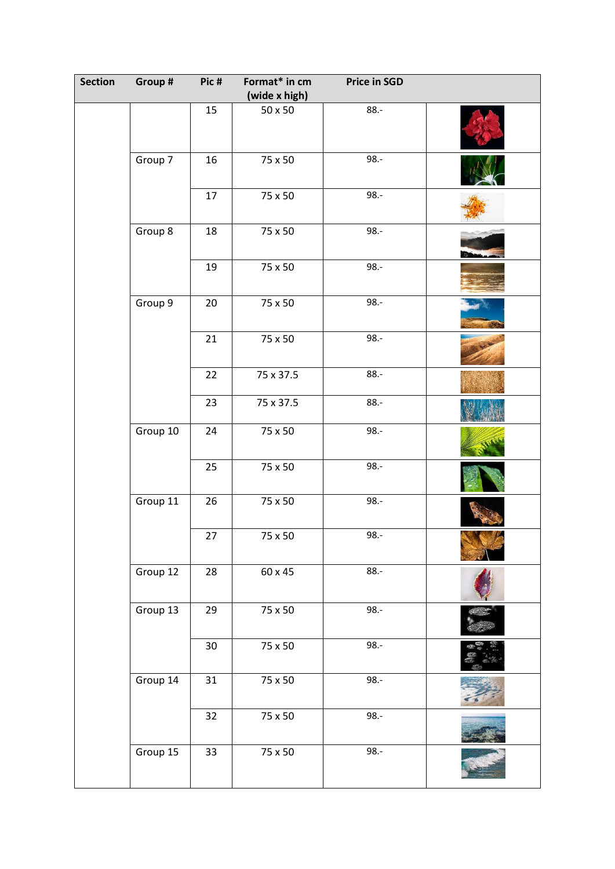| <b>Section</b> | Group #  | Pic#   | Format* in cm        | <b>Price in SGD</b> |  |
|----------------|----------|--------|----------------------|---------------------|--|
|                |          |        | (wide x high)        |                     |  |
|                |          | 15     | $50\times50$         | $88. -$             |  |
|                | Group 7  | 16     | 75 x 50              | $98. -$             |  |
|                |          | 17     | 75 x 50              | $98. -$             |  |
|                | Group 8  | 18     | 75 x 50              | $98. -$             |  |
|                |          | 19     | 75 x 50              | $98. -$             |  |
|                | Group 9  | 20     | 75 x 50              | $98. -$             |  |
|                |          | 21     | 75 x 50              | $98. -$             |  |
|                |          | 22     | 75 x 37.5            | $88.-$              |  |
|                |          | 23     | 75 x 37.5            | $88. -$             |  |
|                | Group 10 | 24     | 75 x 50              | $98. -$             |  |
|                |          | 25     | 75 x 50              | $98. -$             |  |
|                | Group 11 | 26     | 75 x 50              | $98. -$             |  |
|                |          | $27\,$ | 75 x 50              | 98.-                |  |
|                | Group 12 | 28     | 60 x 45              | $88. -$             |  |
|                | Group 13 | 29     | $\overline{75}$ x 50 | $98. -$             |  |
|                |          | $30\,$ | 75 x 50              | $98. -$             |  |
|                | Group 14 | 31     | 75 x 50              | $98. -$             |  |
|                |          | 32     | 75 x 50              | $98. -$             |  |
|                | Group 15 | 33     | 75 x 50              | $98. -$             |  |